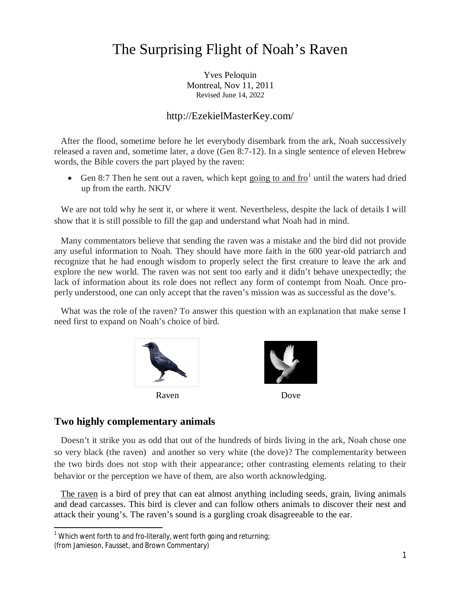# The Surprising Flight of Noah's Raven

Yves Peloquin Montreal, Nov 11, 2011 Revised June 14, 2022

#### http://EzekielMasterKey.com/

 After the flood, sometime before he let everybody disembark from the ark, Noah successively released a raven and, sometime later, a dove (Gen 8:7-12). In a single sentence of eleven Hebrew words, the Bible covers the part played by the raven:

• Gen 8:7 Then he sent out a raven, which kept going to and  $\text{fro}^1$  until the waters had dried up from the earth. NKJV

 We are not told why he sent it, or where it went. Nevertheless, despite the lack of details I will show that it is still possible to fill the gap and understand what Noah had in mind.

 Many commentators believe that sending the raven was a mistake and the bird did not provide any useful information to Noah. They should have more faith in the 600 year-old patriarch and recognize that he had enough wisdom to properly select the first creature to leave the ark and explore the new world. The raven was not sent too early and it didn't behave unexpectedly; the lack of information about its role does not reflect any form of contempt from Noah. Once properly understood, one can only accept that the raven's mission was as successful as the dove's.

What was the role of the raven? To answer this question with an explanation that make sense I need first to expand on Noah's choice of bird.



Raven Dove



## **Two highly complementary animals**

 $\overline{a}$ 

 Doesn't it strike you as odd that out of the hundreds of birds living in the ark, Noah chose one so very black (the raven) and another so very white (the dove)? The complementarity between the two birds does not stop with their appearance; other contrasting elements relating to their behavior or the perception we have of them, are also worth acknowledging.

 The raven is a bird of prey that can eat almost anything including seeds, grain, living animals and dead carcasses. This bird is clever and can follow others animals to discover their nest and attack their young's. The raven's sound is a gurgling croak disagreeable to the ear.

 $^1$  Which went forth to and fro-literally, went forth going and returning;

<sup>(</sup>from Jamieson, Fausset, and Brown Commentary)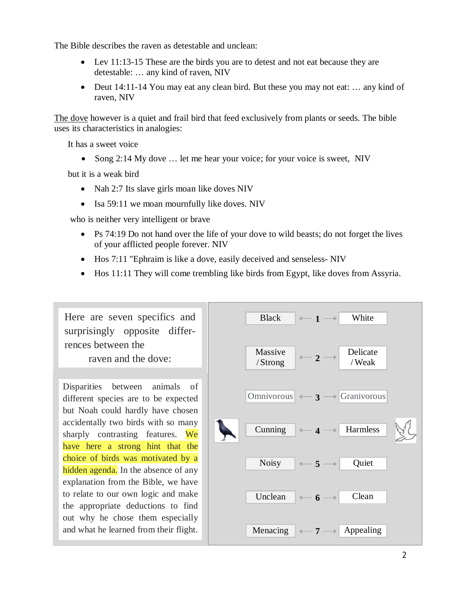The Bible describes the raven as detestable and unclean:

- Lev 11:13-15 These are the birds you are to detest and not eat because they are detestable: … any kind of raven, NIV
- Deut 14:11-14 You may eat any clean bird. But these you may not eat: ... any kind of raven, NIV

The dove however is a quiet and frail bird that feed exclusively from plants or seeds. The bible uses its characteristics in analogies:

It has a sweet voice

• Song  $2:14$  My dove  $\dots$  let me hear your voice; for your voice is sweet, NIV

but it is a weak bird

- Nah 2:7 Its slave girls moan like doves NIV
- Isa 59:11 we moan mournfully like doves. NIV

who is neither very intelligent or brave

- $\bullet$  Ps 74:19 Do not hand over the life of your dove to wild beasts; do not forget the lives of your afflicted people forever. NIV
- $\bullet$  Hos 7:11 "Ephraim is like a dove, easily deceived and senseless- NIV
- $\bullet$  Hos 11:11 They will come trembling like birds from Egypt, like doves from Assyria.

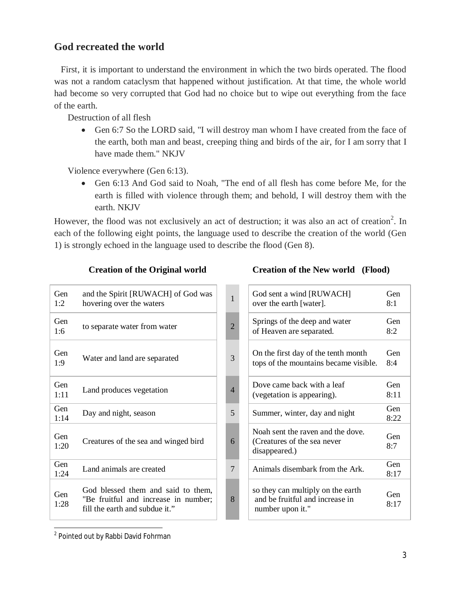## **God recreated the world**

 First, it is important to understand the environment in which the two birds operated. The flood was not a random cataclysm that happened without justification. At that time, the whole world had become so very corrupted that God had no choice but to wipe out everything from the face of the earth.

Destruction of all flesh

• Gen 6:7 So the LORD said, "I will destroy man whom I have created from the face of the earth, both man and beast, creeping thing and birds of the air, for I am sorry that I have made them." NKJV

Violence everywhere (Gen 6:13).

• Gen 6:13 And God said to Noah, "The end of all flesh has come before Me, for the earth is filled with violence through them; and behold, I will destroy them with the earth. NKJV

However, the flood was not exclusively an act of destruction; it was also an act of creation<sup>2</sup>. In each of the following eight points, the language used to describe the creation of the world (Gen 1) is strongly echoed in the language used to describe the flood (Gen 8).

| Gen<br>1:2  | and the Spirit [RUWACH] of God was<br>hovering over the waters                                               | $\mathbf{1}$   | God sent a wind [RUWACH]<br>over the earth [water].                                      | Gen<br>8:1         |
|-------------|--------------------------------------------------------------------------------------------------------------|----------------|------------------------------------------------------------------------------------------|--------------------|
| Gen<br>1:6  | to separate water from water                                                                                 | $\overline{2}$ | Springs of the deep and water<br>of Heaven are separated.                                | Gen<br>8:2         |
| Gen<br>1:9  | Water and land are separated                                                                                 | 3              | On the first day of the tenth month<br>tops of the mountains became visible.             | <b>Gen</b><br>8:4  |
| Gen<br>1:11 | Land produces vegetation                                                                                     | $\overline{4}$ | Dove came back with a leaf<br>(vegetation is appearing).                                 | Gen<br>8:11        |
| Gen<br>1:14 | Day and night, season                                                                                        | 5              | Summer, winter, day and night                                                            | <b>Gen</b><br>8:22 |
| Gen<br>1:20 | Creatures of the sea and winged bird                                                                         | 6              | Noah sent the raven and the dove.<br>(Creatures of the sea never)<br>disappeared.)       | <b>Gen</b><br>8:7  |
| Gen<br>1:24 | Land animals are created                                                                                     | $\overline{7}$ | Animals disembark from the Ark.                                                          | <b>Gen</b><br>8:17 |
| Gen<br>1:28 | God blessed them and said to them,<br>"Be fruitful and increase in number;<br>fill the earth and subdue it." | 8              | so they can multiply on the earth<br>and be fruitful and increase in<br>number upon it." | <b>Gen</b><br>8:17 |

#### **Creation of the Original world Creation of the New world (Flood)**

| God sent a wind [RUWACH]<br>over the earth [water].                                      | Gen<br>8:1  |
|------------------------------------------------------------------------------------------|-------------|
| Springs of the deep and water<br>of Heaven are separated.                                | Gen<br>8:2  |
| On the first day of the tenth month<br>tops of the mountains became visible.             | Gen<br>8:4  |
| Dove came back with a leaf<br>(vegetation is appearing).                                 | Gen<br>8:11 |
| Summer, winter, day and night                                                            | Gen<br>8:22 |
| Noah sent the raven and the dove.<br>(Creatures of the sea never)<br>disappeared.)       | Gen<br>8:7  |
| Animals disembark from the Ark.                                                          | Gen<br>8:17 |
| so they can multiply on the earth<br>and be fruitful and increase in<br>number upon it." | Gen<br>8:17 |

 2 Pointed out by Rabbi David Fohrman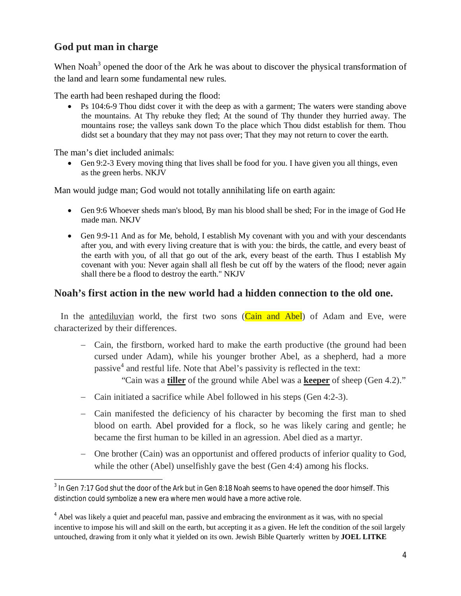## **God put man in charge**

When Noah<sup>3</sup> opened the door of the Ark he was about to discover the physical transformation of the land and learn some fundamental new rules.

The earth had been reshaped during the flood:

• Ps 104:6-9 Thou didst cover it with the deep as with a garment; The waters were standing above the mountains. At Thy rebuke they fled; At the sound of Thy thunder they hurried away. The mountains rose; the valleys sank down To the place which Thou didst establish for them. Thou didst set a boundary that they may not pass over; That they may not return to cover the earth.

The man's diet included animals:

 $\bullet$  Gen 9:2-3 Every moving thing that lives shall be food for you. I have given you all things, even as the green herbs. NKJV

Man would judge man; God would not totally annihilating life on earth again:

- Gen 9:6 Whoever sheds man's blood, By man his blood shall be shed; For in the image of God He made man. NKJV
- Gen 9:9-11 And as for Me, behold, I establish My covenant with you and with your descendants after you, and with every living creature that is with you: the birds, the cattle, and every beast of the earth with you, of all that go out of the ark, every beast of the earth. Thus I establish My covenant with you: Never again shall all flesh be cut off by the waters of the flood; never again shall there be a flood to destroy the earth." NKJV

## **Noah's first action in the new world had a hidden connection to the old one.**

In the antediluvian world, the first two sons  $(Cain and Abel)$  of Adam and Eve, were characterized by their differences.

- Cain, the firstborn, worked hard to make the earth productive (the ground had been cursed under Adam), while his younger brother Abel, as a shepherd, had a more passive<sup>4</sup> and restful life. Note that Abel's passivity is reflected in the text:

"Cain was a **tiller** of the ground while Abel was a **keeper** of sheep (Gen 4.2)."

- Cain initiated a sacrifice while Abel followed in his steps (Gen 4:2-3).
- Cain manifested the deficiency of his character by becoming the first man to shed blood on earth. Abel provided for a flock, so he was likely caring and gentle; he became the first human to be killed in an agression. Abel died as a martyr.
- One brother (Cain) was an opportunist and offered products of inferior quality to God, while the other (Abel) unselfishly gave the best (Gen 4:4) among his flocks.

 $\overline{a}$  $^3$  In Gen 7:17 God shut the door of the Ark but in Gen 8:18 Noah seems to have opened the door himself. This distinction could symbolize a new era where men would have a more active role.

<sup>&</sup>lt;sup>4</sup> Abel was likely a quiet and peaceful man, passive and embracing the environment as it was, with no special incentive to impose his will and skill on the earth, but accepting it as a given. He left the condition of the soil largely untouched, drawing from it only what it yielded on its own. Jewish Bible Quarterly written by **JOEL LITKE**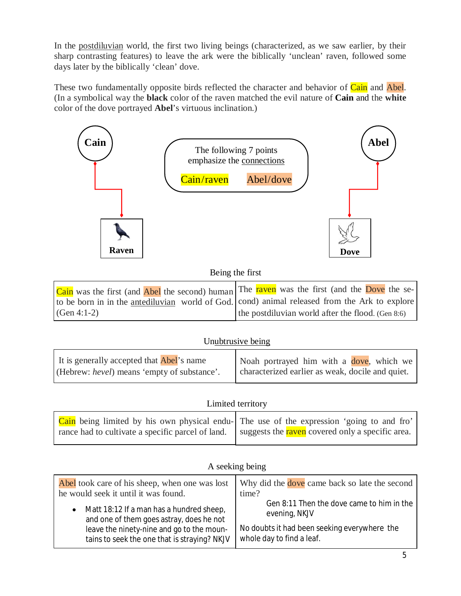In the postdiluvian world, the first two living beings (characterized, as we saw earlier, by their sharp contrasting features) to leave the ark were the biblically 'unclean' raven, followed some days later by the biblically 'clean' dove.

These two fundamentally opposite birds reflected the character and behavior of Cain and Abel. (In a symbolical way the **black** color of the raven matched the evil nature of **Cain** and the **white** color of the dove portrayed **Abel**'s virtuous inclination.)



## Being the first

| Cain was the first (and Abel the second) human The raven was the first (and the Dove the se-  |                                                      |
|-----------------------------------------------------------------------------------------------|------------------------------------------------------|
| to be born in in the antediluvian world of God. cond) animal released from the Ark to explore |                                                      |
| $(Gen 4:1-2)$                                                                                 | the postdiluvian world after the flood. (Gen $8:6$ ) |

## Unubtrusive being

| It is generally accepted that <b>Abel</b> 's name   | Noah portrayed him with a dove, which we         |
|-----------------------------------------------------|--------------------------------------------------|
| (Hebrew: <i>hevel</i> ) means 'empty of substance'. | characterized earlier as weak, docile and quiet. |

#### Limited territory

| Cain being limited by his own physical endu- The use of the expression 'going to and fro'            |  |
|------------------------------------------------------------------------------------------------------|--|
| rance had to cultivate a specific parcel of land.   suggests the raven covered only a specific area. |  |

#### A seeking being

| Abel took care of his sheep, when one was lost | Why did the dove came back so late the second |
|------------------------------------------------|-----------------------------------------------|
| he would seek it until it was found.           | time?                                         |
| • Matt 18:12 If a man has a hundred sheep,     | Gen 8:11 Then the dove came to him in the     |
| and one of them goes astray, does he not       | evening, NKJV                                 |
| leave the ninety-nine and go to the moun-      | No doubts it had been seeking everywhere the  |
| tains to seek the one that is straying? NKJV   | whole day to find a leaf.                     |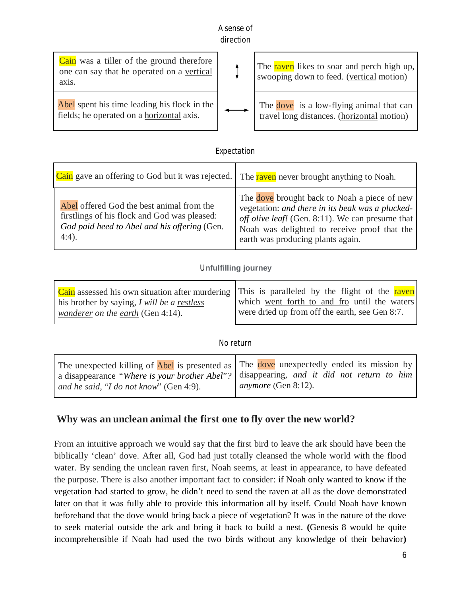#### A sense of direction

| <b>Cain</b> was a tiller of the ground therefore<br>one can say that he operated on a vertical<br>axis. | The raven likes to soar and perch high up,<br>swooping down to feed. (vertical motion) |
|---------------------------------------------------------------------------------------------------------|----------------------------------------------------------------------------------------|
| Abel spent his time leading his flock in the<br>fields; he operated on a horizontal axis.               | The dove is a low-flying animal that can<br>travel long distances. (horizontal motion) |

## Expectation

| Cain gave an offering to God but it was rejected.                                                                                                     | The raven never brought anything to Noah.                                                                                                                                                                                                 |
|-------------------------------------------------------------------------------------------------------------------------------------------------------|-------------------------------------------------------------------------------------------------------------------------------------------------------------------------------------------------------------------------------------------|
| Abel offered God the best animal from the<br>firstlings of his flock and God was pleased:<br>God paid heed to Abel and his offering (Gen.<br>$4:4$ ). | The dove brought back to Noah a piece of new<br>vegetation: and there in its beak was a plucked-<br>off olive leaf! (Gen. 8:11). We can presume that<br>Noah was delighted to receive proof that the<br>earth was producing plants again. |

#### U**nfulfilling journey**

|                                             | Cain assessed his own situation after murdering This is paralleled by the flight of the raven |
|---------------------------------------------|-----------------------------------------------------------------------------------------------|
| his brother by saying, I will be a restless | which went forth to and fro until the waters                                                  |
| wanderer on the earth (Gen 4:14).           | were dried up from off the earth, see Gen 8:7.                                                |

#### No return

| and he said, "I do not know" (Gen 4:9). | The unexpected killing of Abel is presented as The dove unexpectedly ended its mission by<br>a disappearance "Where is your brother Abel"? disappearing, and it did not return to him<br><i>anymore</i> (Gen 8:12). |
|-----------------------------------------|---------------------------------------------------------------------------------------------------------------------------------------------------------------------------------------------------------------------|
|-----------------------------------------|---------------------------------------------------------------------------------------------------------------------------------------------------------------------------------------------------------------------|

## **Why was an unclean animal the first one to fly over the new world?**

From an intuitive approach we would say that the first bird to leave the ark should have been the biblically 'clean' dove. After all, God had just totally cleansed the whole world with the flood water. By sending the unclean raven first, Noah seems, at least in appearance, to have defeated the purpose. There is also another important fact to consider: if Noah only wanted to know if the vegetation had started to grow, he didn't need to send the raven at all as the dove demonstrated later on that it was fully able to provide this information all by itself. Could Noah have known beforehand that the dove would bring back a piece of vegetation? It was in the nature of the dove to seek material outside the ark and bring it back to build a nest. **(**Genesis 8 would be quite incomprehensible if Noah had used the two birds without any knowledge of their behavior**)**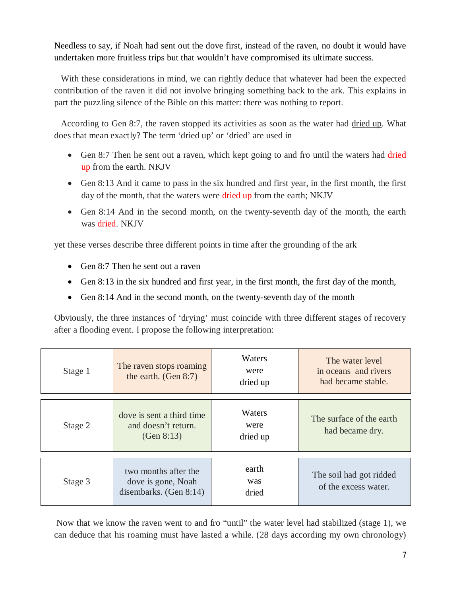Needless to say, if Noah had sent out the dove first, instead of the raven, no doubt it would have undertaken more fruitless trips but that wouldn't have compromised its ultimate success.

With these considerations in mind, we can rightly deduce that whatever had been the expected contribution of the raven it did not involve bringing something back to the ark. This explains in part the puzzling silence of the Bible on this matter: there was nothing to report.

According to Gen 8:7, the raven stopped its activities as soon as the water had dried up. What does that mean exactly? The term 'dried up' or 'dried' are used in

- Gen 8:7 Then he sent out a raven, which kept going to and fro until the waters had dried up from the earth. NKJV
- Gen 8:13 And it came to pass in the six hundred and first year, in the first month, the first day of the month, that the waters were dried up from the earth; NKJV
- Gen 8:14 And in the second month, on the twenty-seventh day of the month, the earth was dried. NKJV

yet these verses describe three different points in time after the grounding of the ark

- Gen  $8:7$  Then he sent out a raven
- Gen 8:13 in the six hundred and first year, in the first month, the first day of the month,
- Gen 8:14 And in the second month, on the twenty-seventh day of the month

Obviously, the three instances of 'drying' must coincide with three different stages of recovery after a flooding event. I propose the following interpretation:

| Stage 1 | The raven stops roaming<br>the earth. $(Gen 8:7)$                       | Waters<br>were<br>dried up | The water level<br>in oceans and rivers<br>had became stable. |
|---------|-------------------------------------------------------------------------|----------------------------|---------------------------------------------------------------|
| Stage 2 | dove is sent a third time<br>and doesn't return.<br>(Gen $8:13$ )       | Waters<br>were<br>dried up | The surface of the earth<br>had became dry.                   |
| Stage 3 | two months after the<br>dove is gone, Noah<br>disembarks. (Gen $8:14$ ) | earth<br>was<br>dried      | The soil had got ridded<br>of the excess water.               |

 Now that we know the raven went to and fro "until" the water level had stabilized (stage 1), we can deduce that his roaming must have lasted a while. (28 days according my own chronology)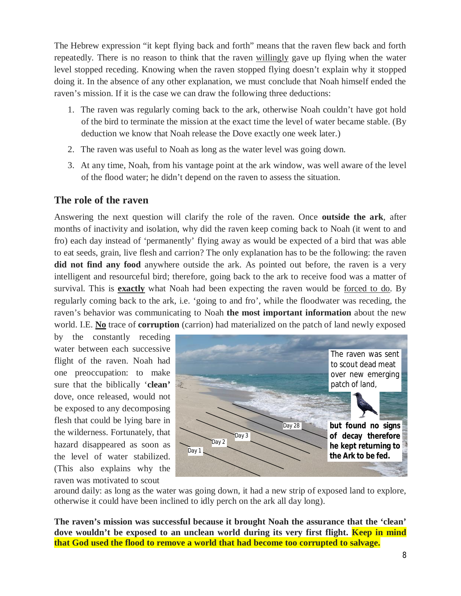The Hebrew expression "it kept flying back and forth" means that the raven flew back and forth repeatedly. There is no reason to think that the raven willingly gave up flying when the water level stopped receding. Knowing when the raven stopped flying doesn't explain why it stopped doing it. In the absence of any other explanation, we must conclude that Noah himself ended the raven's mission. If it is the case we can draw the following three deductions:

- 1. The raven was regularly coming back to the ark, otherwise Noah couldn't have got hold of the bird to terminate the mission at the exact time the level of water became stable. (By deduction we know that Noah release the Dove exactly one week later.)
- 2. The raven was useful to Noah as long as the water level was going down.
- 3. At any time, Noah, from his vantage point at the ark window, was well aware of the level of the flood water; he didn't depend on the raven to assess the situation.

## **The role of the raven**

Answering the next question will clarify the role of the raven. Once **outside the ark**, after months of inactivity and isolation, why did the raven keep coming back to Noah (it went to and fro) each day instead of 'permanently' flying away as would be expected of a bird that was able to eat seeds, grain, live flesh and carrion? The only explanation has to be the following: the raven **did not find any food** anywhere outside the ark. As pointed out before, the raven is a very intelligent and resourceful bird; therefore, going back to the ark to receive food was a matter of survival. This is **exactly** what Noah had been expecting the raven would be forced to do. By regularly coming back to the ark, i.e. 'going to and fro', while the floodwater was receding, the raven's behavior was communicating to Noah **the most important information** about the new world. I.E. **No** trace of **corruption** (carrion) had materialized on the patch of land newly exposed

by the constantly receding water between each successive flight of the raven. Noah had one preoccupation: to make sure that the biblically '**clean'** dove, once released, would not be exposed to any decomposing flesh that could be lying bare in the wilderness. Fortunately, that hazard disappeared as soon as the level of water stabilized. (This also explains why the raven was motivated to scout



around daily: as long as the water was going down, it had a new strip of exposed land to explore, otherwise it could have been inclined to idly perch on the ark all day long).

**The raven's mission was successful because it brought Noah the assurance that the 'clean'**  dove wouldn't be exposed to an unclean world during its very first flight. **Keep in mind that God used the flood to remove a world that had become too corrupted to salvage.**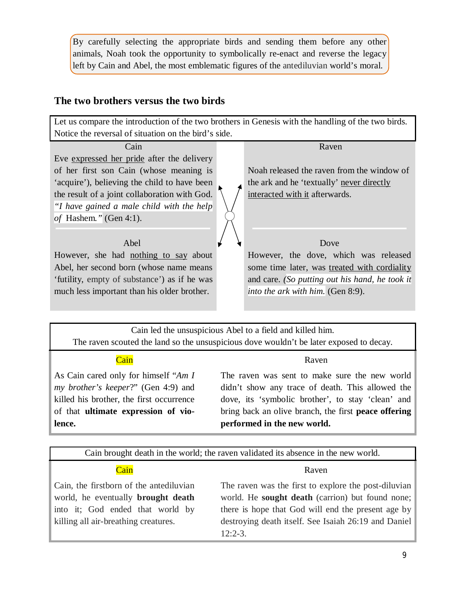By carefully selecting the appropriate birds and sending them before any other animals, Noah took the opportunity to symbolically re-enact and reverse the legacy left by Cain and Abel, the most emblematic figures of the antediluvian world's moral.

## **The two brothers versus the two birds**



Cain led the unsuspicious Abel to a field and killed him. The raven scouted the land so the unsuspicious dove wouldn't be later exposed to decay.

| <b>Contract Contract Contract Contract Contract Contract Contract Contract Contract Contract Contract Contract Co</b><br><b>Contract Contract Contract Contract Contract Contract Contract Contract Contract Contract Contract Contract Co</b>    | and the state of the state of the state of the state of the state of the state of the state of the state of th<br>and the state of the state of the state of the state of the state of the state of the state of the state of th |  |
|---------------------------------------------------------------------------------------------------------------------------------------------------------------------------------------------------------------------------------------------------|----------------------------------------------------------------------------------------------------------------------------------------------------------------------------------------------------------------------------------|--|
|                                                                                                                                                                                                                                                   |                                                                                                                                                                                                                                  |  |
| <b>Contract Contract Contract Contract Contract Contract Contract Contract Contract Contract Contract Contract C</b><br>٠<br>--<br>and the state of the state of the state of the state of the state of the state of the state of the state of th | ___<br><b>Contract Contract Contract Contract Contract Contract Contract Contract Contract Contract Contract Contract Co</b>                                                                                                     |  |

As Cain cared only for himself "*Am I my brother's keeper*?" (Gen 4:9) and killed his brother, the first occurrence of that **ultimate expression of violence.**

#### Cain Raven

The raven was sent to make sure the new world didn't show any trace of death. This allowed the dove, its 'symbolic brother', to stay 'clean' and bring back an olive branch, the first **peace offering performed in the new world.**

| Cain brought death in the world; the raven validated its absence in the new world.                                                                                                                                                                                                                                                                                                                      |  |  |  |
|---------------------------------------------------------------------------------------------------------------------------------------------------------------------------------------------------------------------------------------------------------------------------------------------------------------------------------------------------------------------------------------------------------|--|--|--|
| Cain<br>Raven                                                                                                                                                                                                                                                                                                                                                                                           |  |  |  |
| The raven was the first to explore the post-diluvian<br>Cain, the firstborn of the antediluvian<br>world. He sought death (carrion) but found none;<br>world, he eventually <b>brought</b> death<br>there is hope that God will end the present age by<br>into it; God ended that world by<br>destroying death itself. See Isaiah 26:19 and Daniel<br>killing all air-breathing creatures.<br>$12:2-3.$ |  |  |  |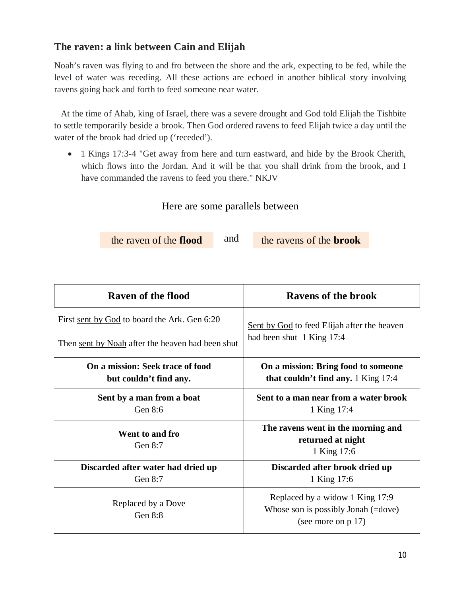## **The raven: a link between Cain and Elijah**

Noah's raven was flying to and fro between the shore and the ark, expecting to be fed, while the level of water was receding. All these actions are echoed in another biblical story involving ravens going back and forth to feed someone near water.

 At the time of Ahab, king of Israel, there was a severe drought and God told Elijah the Tishbite to settle temporarily beside a brook. Then God ordered ravens to feed Elijah twice a day until the water of the brook had dried up ('receded').

• 1 Kings 17:3-4 "Get away from here and turn eastward, and hide by the Brook Cherith, which flows into the Jordan. And it will be that you shall drink from the brook, and I have commanded the ravens to feed you there." NKJV

## Here are some parallels between

the raven of the **flood** and the ravens of the **brook** 

and

| Raven of the flood                               | <b>Ravens of the brook</b>                                                                                |  |  |  |
|--------------------------------------------------|-----------------------------------------------------------------------------------------------------------|--|--|--|
| First sent by God to board the Ark. Gen 6:20     | Sent by God to feed Elijah after the heaven                                                               |  |  |  |
| Then sent by Noah after the heaven had been shut | had been shut 1 King 17:4                                                                                 |  |  |  |
| On a mission: Seek trace of food                 | On a mission: Bring food to someone                                                                       |  |  |  |
| but couldn't find any.                           | that couldn't find any. 1 King 17:4                                                                       |  |  |  |
| Sent by a man from a boat                        | Sent to a man near from a water brook                                                                     |  |  |  |
| Gen 8:6                                          | 1 King 17:4                                                                                               |  |  |  |
| Went to and fro<br>Gen $8:7$                     | The ravens went in the morning and<br>returned at night<br>1 King 17:6                                    |  |  |  |
| Discarded after water had dried up               | Discarded after brook dried up                                                                            |  |  |  |
| Gen 8:7                                          | 1 King 17:6                                                                                               |  |  |  |
| Replaced by a Dove<br>Gen $8:8$                  | Replaced by a widow 1 King 17:9<br>Whose son is possibly Jonah $(=\text{dove})$<br>(see more on $p(17)$ ) |  |  |  |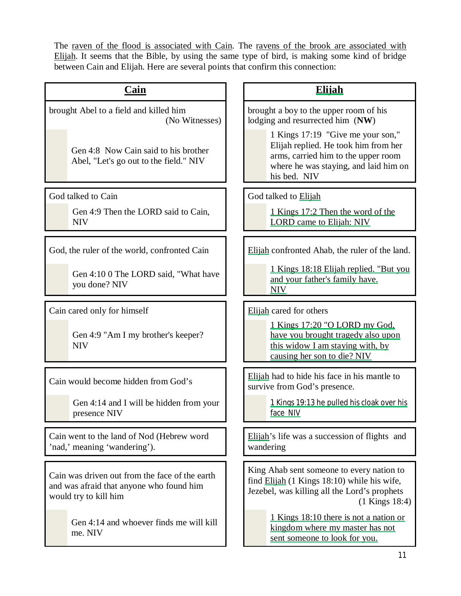The raven of the flood is associated with Cain. The ravens of the brook are associated with Elijah. It seems that the Bible, by using the same type of bird, is making some kind of bridge between Cain and Elijah. Here are several points that confirm this connection:

| <b>Cain</b>                                                                                                         | <b>Elijah</b>                                                                                                                                                             |  |  |
|---------------------------------------------------------------------------------------------------------------------|---------------------------------------------------------------------------------------------------------------------------------------------------------------------------|--|--|
| brought Abel to a field and killed him<br>(No Witnesses)                                                            | brought a boy to the upper room of his<br>lodging and resurrected him (NW)                                                                                                |  |  |
| Gen 4:8 Now Cain said to his brother<br>Abel, "Let's go out to the field." NIV                                      | 1 Kings 17:19 "Give me your son,"<br>Elijah replied. He took him from her<br>arms, carried him to the upper room<br>where he was staying, and laid him on<br>his bed. NIV |  |  |
| God talked to Cain                                                                                                  | God talked to Elijah                                                                                                                                                      |  |  |
| Gen 4:9 Then the LORD said to Cain,<br><b>NIV</b>                                                                   | 1 Kings 17:2 Then the word of the<br><b>LORD</b> came to Elijah: NIV                                                                                                      |  |  |
| God, the ruler of the world, confronted Cain                                                                        | Elijah confronted Ahab, the ruler of the land.                                                                                                                            |  |  |
| Gen 4:10 0 The LORD said, "What have<br>you done? NIV                                                               | 1 Kings 18:18 Elijah replied. "But you<br>and your father's family have.<br><b>NIV</b>                                                                                    |  |  |
| Cain cared only for himself                                                                                         | Elijah cared for others                                                                                                                                                   |  |  |
| Gen 4:9 "Am I my brother's keeper?<br><b>NIV</b>                                                                    | 1 Kings 17:20 "O LORD my God.<br>have you brought tragedy also upon<br>this widow I am staying with, by<br>causing her son to die? NIV                                    |  |  |
| Cain would become hidden from God's                                                                                 | Elijah had to hide his face in his mantle to<br>survive from God's presence.                                                                                              |  |  |
| Gen 4:14 and I will be hidden from your<br>presence NIV                                                             | 1 Kings 19:13 he pulled his cloak over his<br>face NIV                                                                                                                    |  |  |
| Cain went to the land of Nod (Hebrew word<br>'nad,' meaning 'wandering').                                           | Elijah's life was a succession of flights and<br>wandering                                                                                                                |  |  |
| Cain was driven out from the face of the earth<br>and was afraid that anyone who found him<br>would try to kill him | King Ahab sent someone to every nation to<br>find Elijah (1 Kings 18:10) while his wife,<br>Jezebel, was killing all the Lord's prophets<br>$(1$ Kings 18:4)              |  |  |
| Gen 4:14 and whoever finds me will kill<br>me. NIV                                                                  | 1 Kings 18:10 there is not a nation or<br>kingdom where my master has not<br>sent someone to look for you.                                                                |  |  |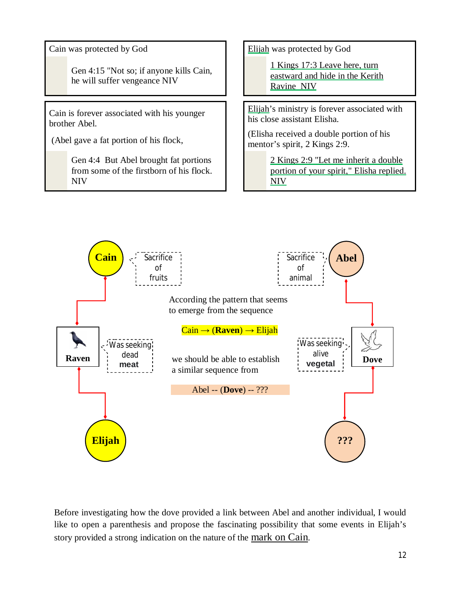Gen 4:15 "Not so; if anyone kills Cain, he will suffer vengeance NIV

Cain is forever associated with his younger brother Abel.

(Abel gave a fat portion of his flock,

Gen 4:4 But Abel brought fat portions from some of the firstborn of his flock. NIV

Cain was protected by God **Elijah** was protected by God

1 Kings 17:3 Leave here, turn eastward and hide in the Kerith Ravine NIV

Elijah's ministry is forever associated with his close assistant Elisha.

(Elisha received a double portion of his mentor's spirit, 2 Kings 2:9.

> 2 Kings 2:9 "Let me inherit a double portion of your spirit," Elisha replied. NIV



Before investigating how the dove provided a link between Abel and another individual, I would like to open a parenthesis and propose the fascinating possibility that some events in Elijah's story provided a strong indication on the nature of the <u>mark on Cain</u>.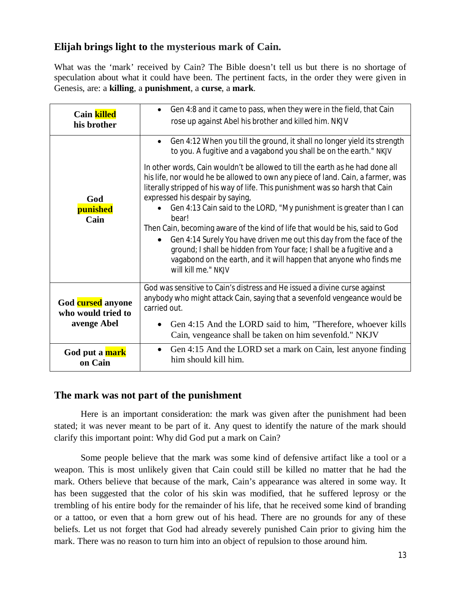## **Elijah brings light to the mysterious mark of Cain.**

What was the 'mark' received by Cain? The Bible doesn't tell us but there is no shortage of speculation about what it could have been. The pertinent facts, in the order they were given in Genesis, are: a **killing**, a **punishment**, a **curse**, a **mark**.

| <b>Cain killed</b>                                     | Gen 4:8 and it came to pass, when they were in the field, that Cain                                                                                                                                                                                                                                                                                                                                                                                                                                                                                                                                                                                                                                                                                                                                                                                                 |  |  |  |
|--------------------------------------------------------|---------------------------------------------------------------------------------------------------------------------------------------------------------------------------------------------------------------------------------------------------------------------------------------------------------------------------------------------------------------------------------------------------------------------------------------------------------------------------------------------------------------------------------------------------------------------------------------------------------------------------------------------------------------------------------------------------------------------------------------------------------------------------------------------------------------------------------------------------------------------|--|--|--|
| his brother                                            | rose up against Abel his brother and killed him. NKJV                                                                                                                                                                                                                                                                                                                                                                                                                                                                                                                                                                                                                                                                                                                                                                                                               |  |  |  |
| God<br>punished<br>Cain                                | Gen 4:12 When you till the ground, it shall no longer yield its strength<br>$\bullet$<br>to you. A fugitive and a vagabond you shall be on the earth." NKJV<br>In other words, Cain wouldn't be allowed to till the earth as he had done all<br>his life, nor would he be allowed to own any piece of land. Cain, a farmer, was<br>literally stripped of his way of life. This punishment was so harsh that Cain<br>expressed his despair by saying,<br>Gen 4:13 Cain said to the LORD, "My punishment is greater than I can<br>bear!<br>Then Cain, becoming aware of the kind of life that would be his, said to God<br>Gen 4:14 Surely You have driven me out this day from the face of the<br>ground; I shall be hidden from Your face; I shall be a fugitive and a<br>vagabond on the earth, and it will happen that anyone who finds me<br>will kill me." NKJV |  |  |  |
| God cursed anyone<br>who would tried to<br>avenge Abel | God was sensitive to Cain's distress and He issued a divine curse against<br>anybody who might attack Cain, saying that a sevenfold vengeance would be<br>carried out.<br>Gen 4:15 And the LORD said to him, "Therefore, whoever kills<br>Cain, vengeance shall be taken on him sevenfold." NKJV                                                                                                                                                                                                                                                                                                                                                                                                                                                                                                                                                                    |  |  |  |
| God put a mark                                         | Gen 4:15 And the LORD set a mark on Cain, lest anyone finding                                                                                                                                                                                                                                                                                                                                                                                                                                                                                                                                                                                                                                                                                                                                                                                                       |  |  |  |
| on Cain                                                | him should kill him.                                                                                                                                                                                                                                                                                                                                                                                                                                                                                                                                                                                                                                                                                                                                                                                                                                                |  |  |  |

## **The mark was not part of the punishment**

Here is an important consideration: the mark was given after the punishment had been stated; it was never meant to be part of it. Any quest to identify the nature of the mark should clarify this important point: Why did God put a mark on Cain?

Some people believe that the mark was some kind of defensive artifact like a tool or a weapon. This is most unlikely given that Cain could still be killed no matter that he had the mark. Others believe that because of the mark, Cain's appearance was altered in some way. It has been suggested that the color of his skin was modified, that he suffered leprosy or the trembling of his entire body for the remainder of his life, that he received some kind of branding or a tattoo, or even that a horn grew out of his head. There are no grounds for any of these beliefs. Let us not forget that God had already severely punished Cain prior to giving him the mark. There was no reason to turn him into an object of repulsion to those around him.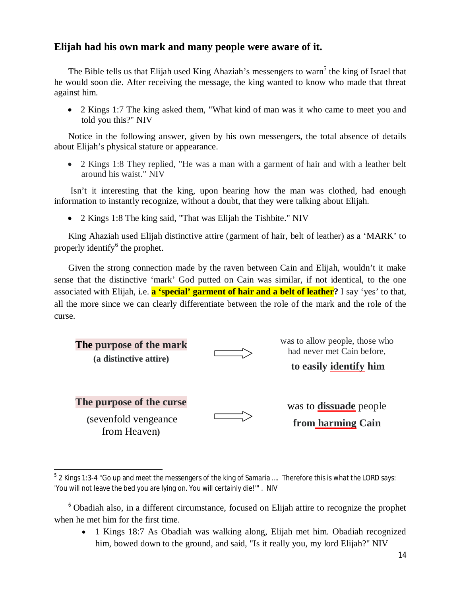## **Elijah had his own mark and many people were aware of it.**

The Bible tells us that Elijah used King Ahaziah's messengers to warn<sup>5</sup> the king of Israel that he would soon die. After receiving the message, the king wanted to know who made that threat against him.

• 2 Kings 1:7 The king asked them, "What kind of man was it who came to meet you and told you this?" NIV

Notice in the following answer, given by his own messengers, the total absence of details about Elijah's physical stature or appearance.

• 2 Kings 1:8 They replied, "He was a man with a garment of hair and with a leather belt around his waist." NIV

Isn't it interesting that the king, upon hearing how the man was clothed, had enough information to instantly recognize, without a doubt, that they were talking about Elijah.

• 2 Kings 1:8 The king said, "That was Elijah the Tishbite." NIV

King Ahaziah used Elijah distinctive attire (garment of hair, belt of leather) as a 'MARK' to properly identify<sup>6</sup> the prophet.

Given the strong connection made by the raven between Cain and Elijah, wouldn't it make sense that the distinctive 'mark' God putted on Cain was similar, if not identical, to the one associated with Elijah, i.e. **a 'special' garment of hair and a belt of leather?** I say 'yes' to that, all the more since we can clearly differentiate between the role of the mark and the role of the curse.

| The purpose of the mark<br>(a distinctive attire) | was to allow people, those who<br>had never met Cain before,<br>to easily identify him |
|---------------------------------------------------|----------------------------------------------------------------------------------------|
| The purpose of the curse                          | was to <b>dissuade</b> people                                                          |
| (sevenfold vengeance)<br>from Heaven)             | from harming Cain                                                                      |

 5 2 Kings 1:3-4 "Go up and meet the messengers of the king of Samaria …. Therefore this is what the LORD says: 'You will not leave the bed you are lying on. You will certainly die!'" . NIV

• 1 Kings 18:7 As Obadiah was walking along, Elijah met him. Obadiah recognized him, bowed down to the ground, and said, "Is it really you, my lord Elijah?" NIV

<sup>6</sup> Obadiah also, in a different circumstance, focused on Elijah attire to recognize the prophet when he met him for the first time.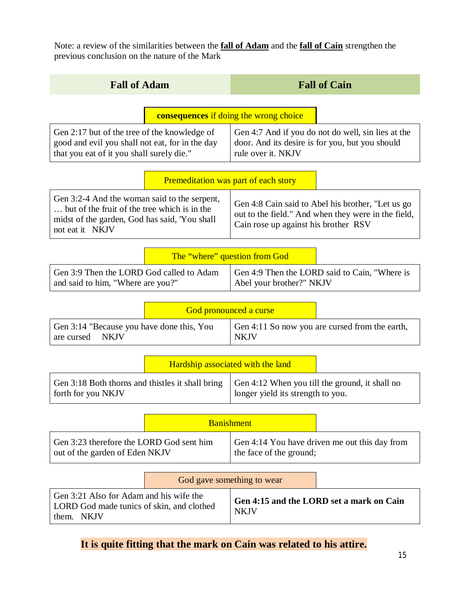Note: a review of the similarities between the **fall of Adam** and the **fall of Cain** strengthen the previous conclusion on the nature of the Mark

| <b>Fall of Adam</b>                                                                                                                                                                                                                                                                                                  | <b>Fall of Cain</b>                                                                                                         |  |  |  |  |
|----------------------------------------------------------------------------------------------------------------------------------------------------------------------------------------------------------------------------------------------------------------------------------------------------------------------|-----------------------------------------------------------------------------------------------------------------------------|--|--|--|--|
| <b>consequences</b> if doing the wrong choice                                                                                                                                                                                                                                                                        |                                                                                                                             |  |  |  |  |
| Gen 2:17 but of the tree of the knowledge of<br>good and evil you shall not eat, for in the day<br>that you eat of it you shall surely die."                                                                                                                                                                         | Gen 4:7 And if you do not do well, sin lies at the<br>door. And its desire is for you, but you should<br>rule over it. NKJV |  |  |  |  |
|                                                                                                                                                                                                                                                                                                                      | Premeditation was part of each story                                                                                        |  |  |  |  |
| Gen 3:2-4 And the woman said to the serpent,<br>Gen 4:8 Cain said to Abel his brother, "Let us go<br>but of the fruit of the tree which is in the<br>out to the field." And when they were in the field,<br>midst of the garden, God has said, 'You shall<br>Cain rose up against his brother RSV<br>not eat it NKJV |                                                                                                                             |  |  |  |  |
|                                                                                                                                                                                                                                                                                                                      | The "where" question from God                                                                                               |  |  |  |  |
| Gen 3:9 Then the LORD God called to Adam<br>Gen 4:9 Then the LORD said to Cain, "Where is<br>Abel your brother?" NKJV<br>and said to him, "Where are you?"                                                                                                                                                           |                                                                                                                             |  |  |  |  |
|                                                                                                                                                                                                                                                                                                                      | God pronounced a curse                                                                                                      |  |  |  |  |
| Gen 3:14 "Because you have done this, You<br><b>NKJV</b><br>are cursed                                                                                                                                                                                                                                               | Gen 4:11 So now you are cursed from the earth,<br><b>NKJV</b>                                                               |  |  |  |  |
|                                                                                                                                                                                                                                                                                                                      | Hardship associated with the land                                                                                           |  |  |  |  |
| Gen 3:18 Both thorns and thistles it shall bring<br>forth for you NKJV                                                                                                                                                                                                                                               | Gen 4:12 When you till the ground, it shall no<br>longer yield its strength to you.                                         |  |  |  |  |
| <b>Banishment</b>                                                                                                                                                                                                                                                                                                    |                                                                                                                             |  |  |  |  |
| Gen 3:23 therefore the LORD God sent him<br>out of the garden of Eden NKJV                                                                                                                                                                                                                                           | Gen 4:14 You have driven me out this day from<br>the face of the ground;                                                    |  |  |  |  |
|                                                                                                                                                                                                                                                                                                                      | God gave something to wear                                                                                                  |  |  |  |  |
| Gen 3:21 Also for Adam and his wife the<br>LORD God made tunics of skin, and clothed<br>them. NKJV                                                                                                                                                                                                                   | Gen 4:15 and the LORD set a mark on Cain<br><b>NKJV</b>                                                                     |  |  |  |  |

**It is quite fitting that the mark on Cain was related to his attire.**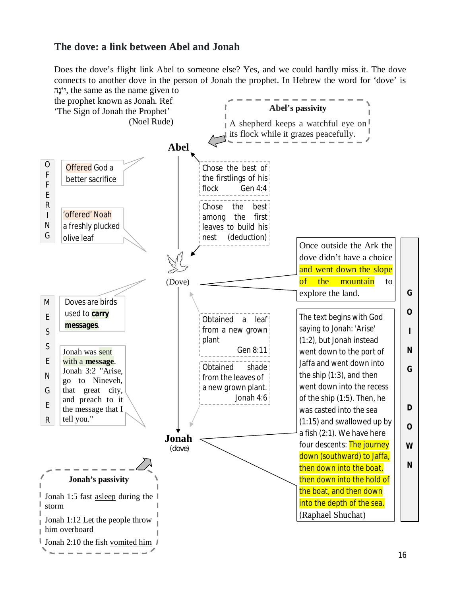## **The dove: a link between Abel and Jonah**

Does the dove's flight link Abel to someone else? Yes, and we could hardly miss it. The dove connects to another dove in the person of Jonah the prophet. In Hebrew the word for 'dove' is ʤʕʰˣʩ, the same as the name given to

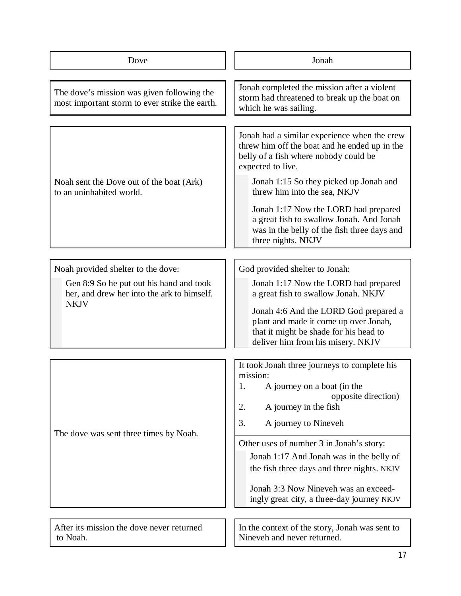| Dove                                                                                                                                       | Jonah                                                                                                                                                                                                                                                                                                                                                                                                         |  |  |  |
|--------------------------------------------------------------------------------------------------------------------------------------------|---------------------------------------------------------------------------------------------------------------------------------------------------------------------------------------------------------------------------------------------------------------------------------------------------------------------------------------------------------------------------------------------------------------|--|--|--|
| The dove's mission was given following the<br>most important storm to ever strike the earth.                                               | Jonah completed the mission after a violent<br>storm had threatened to break up the boat on<br>which he was sailing.                                                                                                                                                                                                                                                                                          |  |  |  |
| Noah sent the Dove out of the boat (Ark)<br>to an uninhabited world.                                                                       | Jonah had a similar experience when the crew<br>threw him off the boat and he ended up in the<br>belly of a fish where nobody could be<br>expected to live.<br>Jonah 1:15 So they picked up Jonah and<br>threw him into the sea, NKJV<br>Jonah 1:17 Now the LORD had prepared<br>a great fish to swallow Jonah. And Jonah<br>was in the belly of the fish three days and<br>three nights. NKJV                |  |  |  |
| Noah provided shelter to the dove:<br>Gen 8:9 So he put out his hand and took<br>her, and drew her into the ark to himself.<br><b>NKJV</b> | God provided shelter to Jonah:<br>Jonah 1:17 Now the LORD had prepared<br>a great fish to swallow Jonah. NKJV<br>Jonah 4:6 And the LORD God prepared a<br>plant and made it come up over Jonah,<br>that it might be shade for his head to<br>deliver him from his misery. NKJV                                                                                                                                |  |  |  |
| The dove was sent three times by Noah.                                                                                                     | It took Jonah three journeys to complete his<br>mission:<br>A journey on a boat (in the<br>ι.<br>opposite direction)<br>2.<br>A journey in the fish<br>3.<br>A journey to Nineveh<br>Other uses of number 3 in Jonah's story:<br>Jonah 1:17 And Jonah was in the belly of<br>the fish three days and three nights. NKJV<br>Jonah 3:3 Now Nineveh was an exceed-<br>ingly great city, a three-day journey NKJV |  |  |  |
| After its mission the dove never returned<br>to Noah.                                                                                      | In the context of the story, Jonah was sent to<br>Nineveh and never returned.                                                                                                                                                                                                                                                                                                                                 |  |  |  |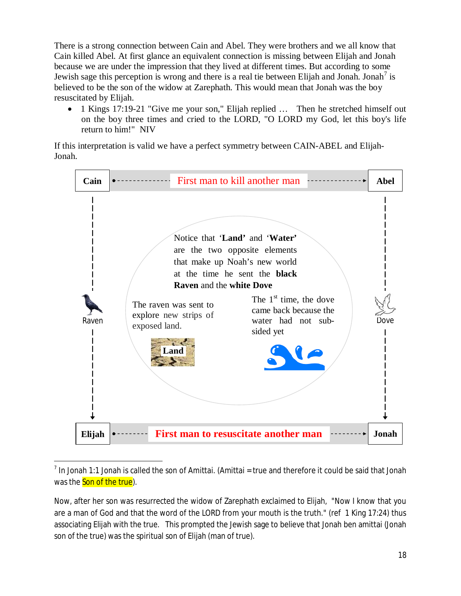There is a strong connection between Cain and Abel. They were brothers and we all know that Cain killed Abel. At first glance an equivalent connection is missing between Elijah and Jonah because we are under the impression that they lived at different times. But according to some Jewish sage this perception is wrong and there is a real tie between Elijah and Jonah. Jonah<sup>7</sup> is believed to be the son of the widow at Zarephath. This would mean that Jonah was the boy resuscitated by Elijah.

• 1 Kings 17:19-21 "Give me your son," Elijah replied  $\ldots$  Then he stretched himself out on the boy three times and cried to the LORD, "O LORD my God, let this boy's life return to him!" NIV

If this interpretation is valid we have a perfect symmetry between CAIN-ABEL and Elijah-Jonah.



 $^7$  In Jonah 1:1 Jonah is called the son of Amittai. (Amittai = true and therefore it could be said that Jonah was the **Son of the true**).

 $\overline{\phantom{a}}$ 

Now, after her son was resurrected the widow of Zarephath exclaimed to Elijah, "Now I know that you are a man of God and that the word of the LORD from your mouth is the truth." (ref 1 King 17:24) thus associating Elijah with the true. This prompted the Jewish sage to believe that Jonah ben amittai (Jonah son of the true) was the spiritual son of Elijah (man of true).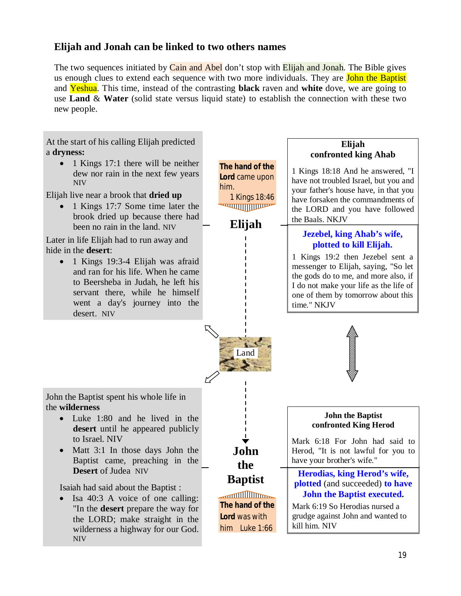## **Elijah and Jonah can be linked to two others names**

The two sequences initiated by Cain and Abel don't stop with Elijah and Jonah. The Bible gives us enough clues to extend each sequence with two more individuals. They are **John the Baptist** and Yeshua. This time, instead of the contrasting **black** raven and **white** dove, we are going to use **Land** & **Water** (solid state versus liquid state) to establish the connection with these two new people.

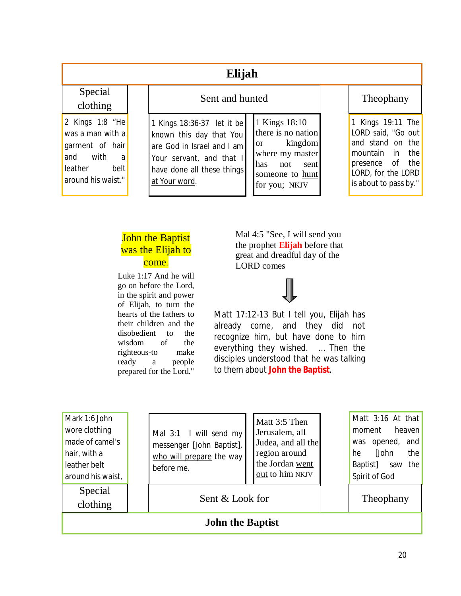## **Elijah**

Special clothing

2 Kings 1:8 "He was a man with a garment of hair and with a leather belt around his waist."

| Sent and hunted                                                                    |  |
|------------------------------------------------------------------------------------|--|
| 1 Kings 18:36-37 let it be known this day that You then are God in Israel and I am |  |
|                                                                                    |  |
| are God in Israel and I am                                                         |  |

Your servant, and that I have done all these things

at Your word.

1 Kings 18:10 there is no nation or kingdom where my master has not sent someone to hunt for you; NKJV

## Theophany

1 Kings 19:11 The LORD said, "Go out and stand on the mountain in the presence of the LORD, for the LORD is about to pass by."

## **John the Baptist** was the Elijah to come.

Luke 1:17 And he will go on before the Lord, in the spirit and power of Elijah, to turn the hearts of the fathers to their children and the disobedient to the wisdom of the righteous-to make ready a people prepared for the Lord."

Mal 4:5 "See, I will send you the prophet **Elijah** before that great and dreadful day of the LORD comes



Matt 17:12-13 But I tell you, Elijah has already come, and they did not recognize him, but have done to him everything they wished. … Then the disciples understood that he was talking to them about **John the Baptist**.

| Mark 1:6 John<br>wore clothing<br>made of camel's<br>hair, with a<br>leather belt<br>around his waist, | Mal 3:1 I will send my<br>messenger [John Baptist],<br>who will prepare the way<br>before me. | Matt 3:5 Then<br>Jerusalem, all<br>Judea, and all the<br>region around<br>the Jordan went<br>out to him NKJV | Matt 3:16 At that<br>heaven<br>moment<br>opened, and<br>was<br>[John<br>the<br>he<br>Baptist]<br>saw the<br>Spirit of God |  |
|--------------------------------------------------------------------------------------------------------|-----------------------------------------------------------------------------------------------|--------------------------------------------------------------------------------------------------------------|---------------------------------------------------------------------------------------------------------------------------|--|
| Special<br>clothing                                                                                    | Sent & Look for                                                                               |                                                                                                              | Theophany                                                                                                                 |  |
| <b>John the Baptist</b>                                                                                |                                                                                               |                                                                                                              |                                                                                                                           |  |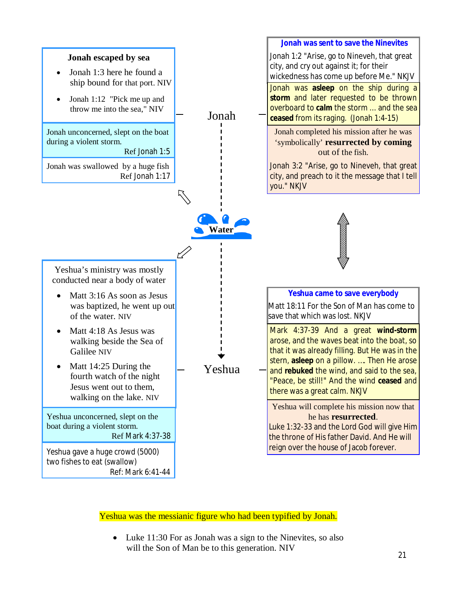

Yeshua was the messianic figure who had been typified by Jonah.

 $\bullet$  Luke 11:30 For as Jonah was a sign to the Ninevites, so also will the Son of Man be to this generation. NIV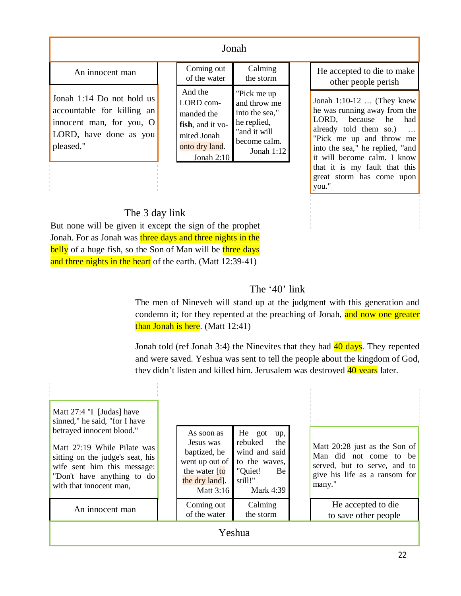## Jonah

## An innocent man

Jonah 1:14 Do not hold us accountable for killing an innocent man, for you, O LORD, have done as you pleased."

| Coming out       | Calming        |
|------------------|----------------|
| of the water     | the storm      |
| And the          | "Pick me up    |
| LORD com-        | and throw me   |
| manded the       | into the sea," |
| fish, and it vo- | he replied,    |
| mited Jonah      | and it will"   |
| onto dry land.   | become calm.   |
| Jonah $2:10$     | Jonah $1:12$   |

Jonah 1:10-12 … (They knew he was running away from the LORD, because he had already told them so.) … "Pick me up and throw me into the sea," he replied, "and it will become calm. I know that it is my fault that this great storm has come upon He accepted to die to make other people perish

you."

## The 3 day link

But none will be given it except the sign of the prophet Jonah. For as Jonah was three days and three nights in the belly of a huge fish, so the Son of Man will be three days and three nights in the heart of the earth. (Matt 12:39-41)

## The '40' link

The men of Nineveh will stand up at the judgment with this generation and condemn it; for they repented at the preaching of Jonah, and now one greater than Jonah is here. (Matt 12:41)

Jonah told (ref Jonah 3:4) the Ninevites that they had 40 days. They repented and were saved. Yeshua was sent to tell the people about the kingdom of God, they didn't listen and killed him. Jerusalem was destroyed 40 years later.

| Matt 27:4 "I [Judas] have<br>sinned," he said, "for I have<br>betrayed innocent blood."<br>Matt 27:19 While Pilate was<br>sitting on the judge's seat, his<br>wife sent him this message:<br>"Don't have anything to do<br>with that innocent man, |  | As soon as<br>Jesus was<br>baptized, he<br>went up out of<br>the water $[to]$<br>the dry land].<br>Matt 3:16 | He got<br>up,<br>rebuked<br>the<br>wind and said<br>to the waves,<br>"Quiet!<br>Be<br>still!"<br><b>Mark 4:39</b> |  | Matt 20:28 just as the Son of<br>Man did not come to be<br>served, but to serve, and to<br>give his life as a ransom for<br>many." |
|----------------------------------------------------------------------------------------------------------------------------------------------------------------------------------------------------------------------------------------------------|--|--------------------------------------------------------------------------------------------------------------|-------------------------------------------------------------------------------------------------------------------|--|------------------------------------------------------------------------------------------------------------------------------------|
| An innocent man                                                                                                                                                                                                                                    |  | Coming out<br>of the water                                                                                   | Calming<br>the storm                                                                                              |  | He accepted to die<br>to save other people                                                                                         |
| Yeshua                                                                                                                                                                                                                                             |  |                                                                                                              |                                                                                                                   |  |                                                                                                                                    |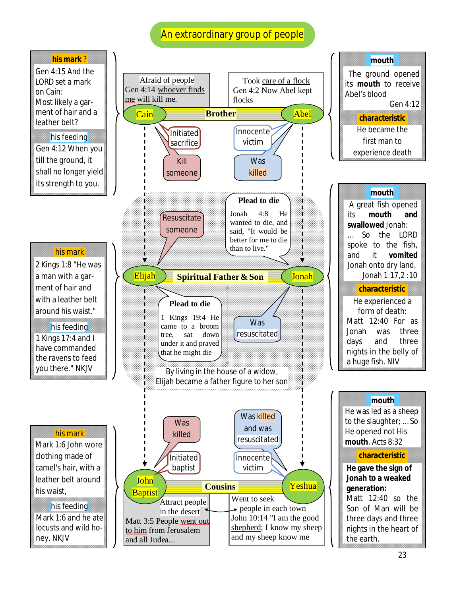## An extraordinary group of people

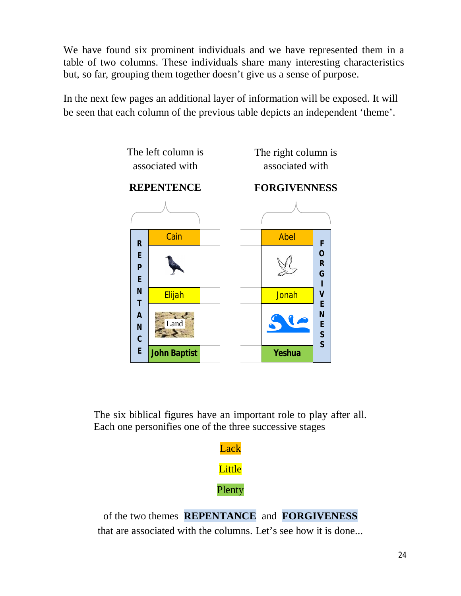We have found six prominent individuals and we have represented them in a table of two columns. These individuals share many interesting characteristics but, so far, grouping them together doesn't give us a sense of purpose.

In the next few pages an additional layer of information will be exposed. It will be seen that each column of the previous table depicts an independent 'theme'.



The six biblical figures have an important role to play after all. Each one personifies one of the three successive stages



of the two themes **REPENTANCE** and **FORGIVENESS** that are associated with the columns. Let's see how it is done...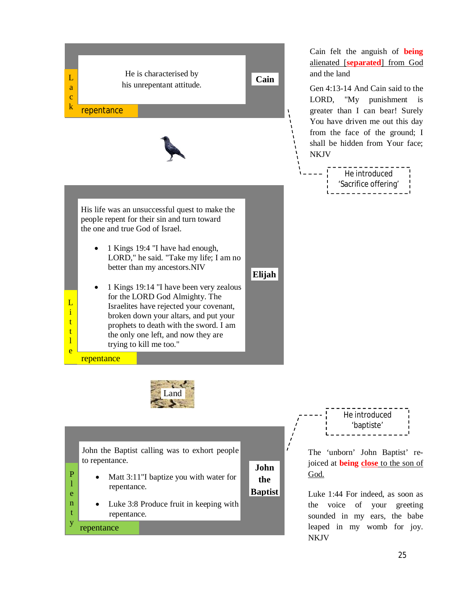

Cain felt the anguish of **being** alienated [**separated**] from God and the land

Gen 4:13-14 And Cain said to the LORD, "My punishment is greater than I can bear! Surely You have driven me out this day from the face of the ground; I shall be hidden from Your face; NKJV

He introduced 'Sacrifice offering'

to repentance.

- Matt  $3:11$ "I baptize you with water for repentance.
- Luke 3:8 Produce fruit in keeping with repentance.

repentance

P l e n t y

The 'unborn' John Baptist' re-'baptiste'

He introduced

joiced at **being close** to the son of God.

**John the Baptist**

Luke 1:44 For indeed, as soon as the voice of your greeting sounded in my ears, the babe leaped in my womb for joy. NKJV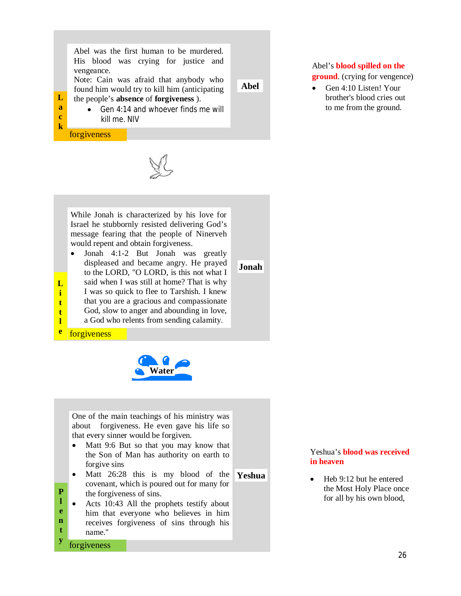Abel was the first human to be murdered. His blood was crying for justice and vengeance.

Note: Cain was afraid that anybody who found him would try to kill him (anticipating

**Abel**

**Jonah**

#### **L** the people's **absence** of **forgiveness** ).

• Gen  $4:14$  and whoever finds me will kill me. NIV

forgiveness

**a c k**

**L i t t l** 



While Jonah is characterized by his love for Israel he stubbornly resisted delivering God's message fearing that the people of Ninerveh would repent and obtain forgiveness.

- $\bullet$  Jonah 4:1-2 But Jonah was greatly displeased and became angry. He prayed to the LORD, "O LORD, is this not what I
- said when I was still at home? That is why
- I was so quick to flee to Tarshish. I knew
- that you are a gracious and compassionate God, slow to anger and abounding in love,
- 
- a God who relents from sending calamity.
- **e** forgiveness



One of the main teachings of his ministry was about forgiveness. He even gave his life so that every sinner would be forgiven.

- Matt 9:6 But so that you may know that the Son of Man has authority on earth to forgive sins
- $\bullet$  Matt 26:28 this is my blood of the covenant, which is poured out for many for the forgiveness of sins. **Yeshua**

• Acts 10:43 All the prophets testify about him that everyone who believes in him receives forgiveness of sins through his name." **l e n t** 

forgiveness

**P**

**y**

#### Abel's **blood spilled on the ground**. (crying for vengence)

Gen 4:10 Listen! Your brother's blood cries out to me from the ground.

#### Yeshua's **blood was received in heaven**

Heb 9:12 but he entered the Most Holy Place once for all by his own blood,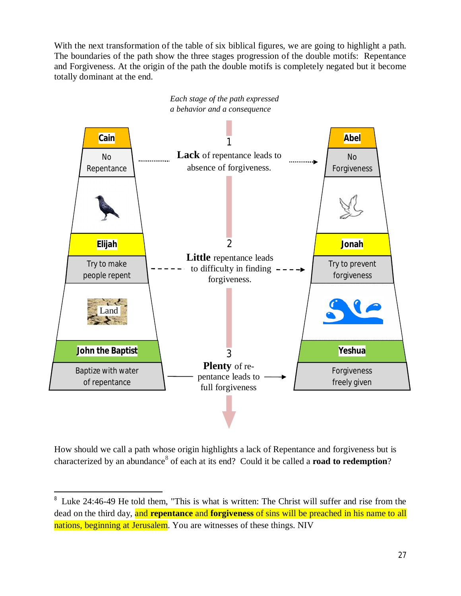With the next transformation of the table of six biblical figures, we are going to highlight a path. The boundaries of the path show the three stages progression of the double motifs: Repentance and Forgiveness. At the origin of the path the double motifs is completely negated but it become totally dominant at the end.



How should we call a path whose origin highlights a lack of Repentance and forgiveness but is characterized by an abundance<sup>8</sup> of each at its end? Could it be called a **road to redemption**?

 $\overline{a}$ 

<sup>&</sup>lt;sup>8</sup> Luke 24:46-49 He told them, "This is what is written: The Christ will suffer and rise from the dead on the third day, and **repentance** and **forgiveness** of sins will be preached in his name to all nations, beginning at Jerusalem. You are witnesses of these things. NIV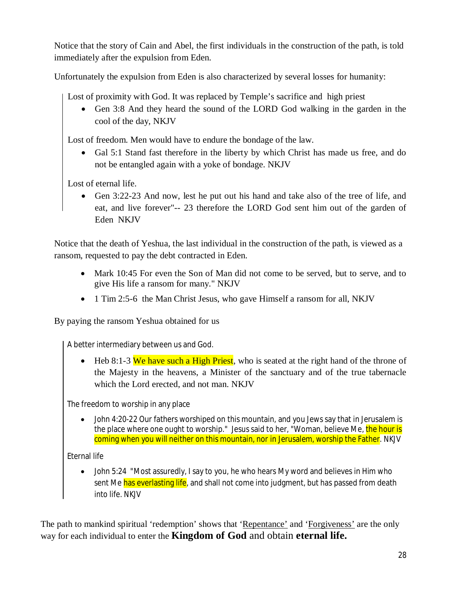Notice that the story of Cain and Abel, the first individuals in the construction of the path, is told immediately after the expulsion from Eden.

Unfortunately the expulsion from Eden is also characterized by several losses for humanity:

Lost of proximity with God. It was replaced by Temple's sacrifice and high priest

• Gen 3:8 And they heard the sound of the LORD God walking in the garden in the cool of the day, NKJV

Lost of freedom. Men would have to endure the bondage of the law.

Gal 5:1 Stand fast therefore in the liberty by which Christ has made us free, and do not be entangled again with a yoke of bondage. NKJV

Lost of eternal life.

• Gen 3:22-23 And now, lest he put out his hand and take also of the tree of life, and eat, and live forever"-- 23 therefore the LORD God sent him out of the garden of Eden NKJV

Notice that the death of Yeshua, the last individual in the construction of the path, is viewed as a ransom, requested to pay the debt contracted in Eden.

- Mark 10:45 For even the Son of Man did not come to be served, but to serve, and to give His life a ransom for many." NKJV
- 1 Tim 2:5-6 the Man Christ Jesus, who gave Himself a ransom for all, NKJV

By paying the ransom Yeshua obtained for us

A better intermediary between us and God.

• Heb 8:1-3 We have such a High Priest, who is seated at the right hand of the throne of the Majesty in the heavens, a Minister of the sanctuary and of the true tabernacle which the Lord erected, and not man. NKJV

The freedom to worship in any place

• John 4:20-22 Our fathers worshiped on this mountain, and you Jews say that in Jerusalem is the place where one ought to worship." Jesus said to her, "Woman, believe Me, the hour is coming when you will neither on this mountain, nor in Jerusalem, worship the Father. NKJV

Eternal life

John 5:24 "Most assuredly, I say to you, he who hears My word and believes in Him who sent Me has everlasting life, and shall not come into judgment, but has passed from death into life. NKJV

The path to mankind spiritual 'redemption' shows that 'Repentance' and 'Forgiveness' are the only way for each individual to enter the **Kingdom of God** and obtain **eternal life.**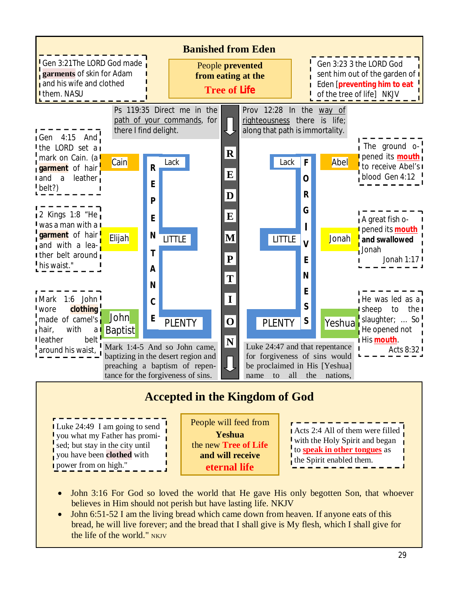

- John 3:16 For God so loved the world that He gave His only begotten Son, that whoever believes in Him should not perish but have lasting life. NKJV
- John 6:51-52 I am the living bread which came down from heaven. If anyone eats of this bread, he will live forever; and the bread that I shall give is My flesh, which I shall give for the life of the world." NKIV